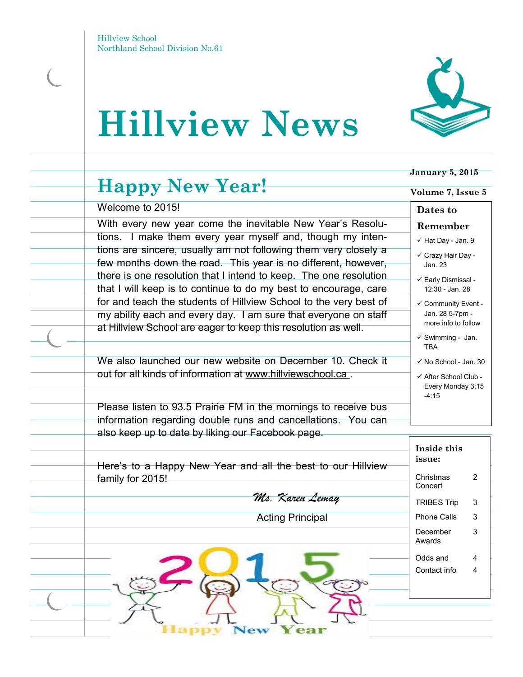# **Hillview News**



Welcome to 2015!

With every new year come the inevitable New Year's Resolutions. I make them every year myself and, though my intentions are sincere, usually am not following them very closely a few months down the road. This year is no different, however, there is one resolution that I intend to keep. The one resolution that I will keep is to continue to do my best to encourage, care for and teach the students of Hillview School to the very best of my ability each and every day. I am sure that everyone on staff at Hillview School are eager to keep this resolution as well.

We also launched our new website on December 10. Check it out for all kinds of information at www.hillviewschool.ca .

Please listen to 93.5 Prairie FM in the mornings to receive bus information regarding double runs and cancellations. You can also keep up to date by liking our Facebook page.

**Volume 7, Issue 5**

 **January 5, 2015**

#### **Dates to**

**Remember**

- $\checkmark$  Hat Day Jan. 9
- Crazy Hair Day Jan. 23
- Early Dismissal 12:30 - Jan. 28
- $\checkmark$  Community Event -Jan. 28 5-7pm more info to follow
- $\checkmark$  Swimming Jan. TBA
- $\checkmark$  No School Jan. 30
- $\checkmark$  After School Club -Every Monday 3:15 -4:15

| Here's to a Happy New Year and all the best to our Hillview | Inside this<br>issue:    |        |
|-------------------------------------------------------------|--------------------------|--------|
| family for 2015!                                            | Christmas<br>Concert     | 2      |
| Ms. Karen Lemay                                             | <b>TRIBES Trip</b>       | 3      |
| <b>Acting Principal</b>                                     | Phone Calls              | 3      |
|                                                             | December<br>Awards       | 3      |
|                                                             | Odds and<br>Contact info | 4<br>4 |
| ev                                                          |                          |        |

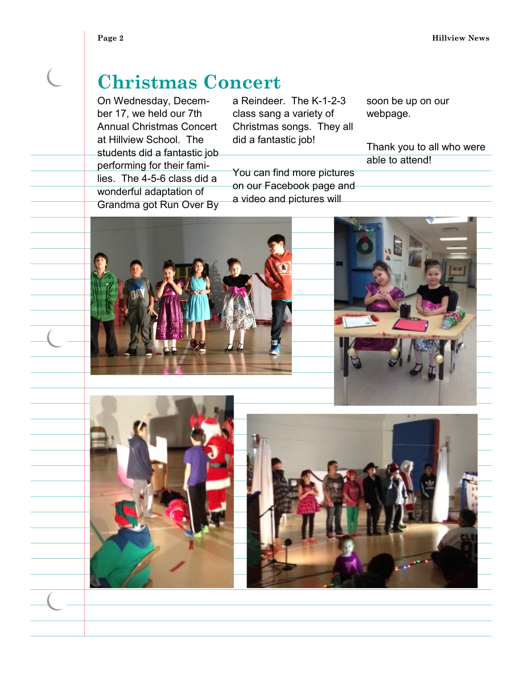$\overline{C}$ 

### **Christmas Concert**

On Wednesday, December 17, we held our 7th Annual Christmas Concert at Hillview School. The students did a fantastic job performing for their families. The 4-5-6 class did a wonderful adaptation of Grandma got Run Over By

a Reindeer. The K-1-2-3 class sang a variety of Christmas songs. They all did a fantastic job!

You can find more pictures on our Facebook page and a video and pictures will

soon be up on our webpage.

Thank you to all who were able to attend!





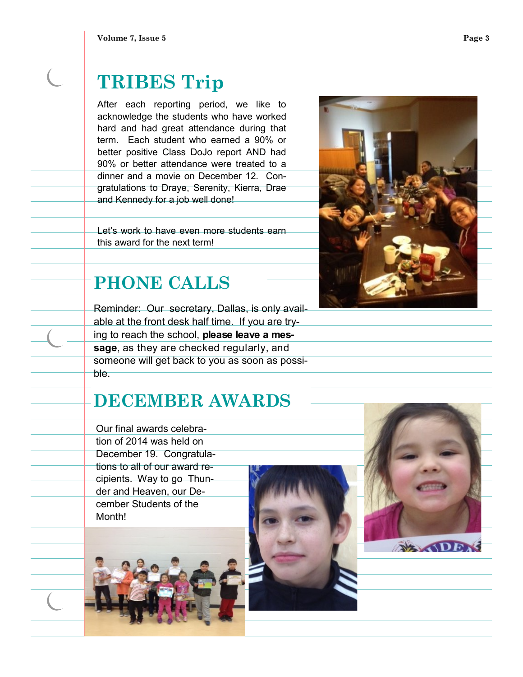**Volume 7, Issue 5 Page 3** 

## **TRIBES Trip**

After each reporting period, we like to acknowledge the students who have worked hard and had great attendance during that term. Each student who earned a 90% or better positive Class DoJo report AND had 90% or better attendance were treated to a dinner and a movie on December 12. Congratulations to Draye, Serenity, Kierra, Drae and Kennedy for a job well done!

Let's work to have even more students earn this award for the next term!

### **PHONE CALLS**

Reminder: Our secretary, Dallas, is only available at the front desk half time. If you are trying to reach the school, **please leave a message**, as they are checked regularly, and someone will get back to you as soon as possible.

### **DECEMBER AWARDS**

Our final awards celebration of 2014 was held on December 19. Congratulations to all of our award recipients. Way to go Thunder and Heaven, our December Students of the Month!